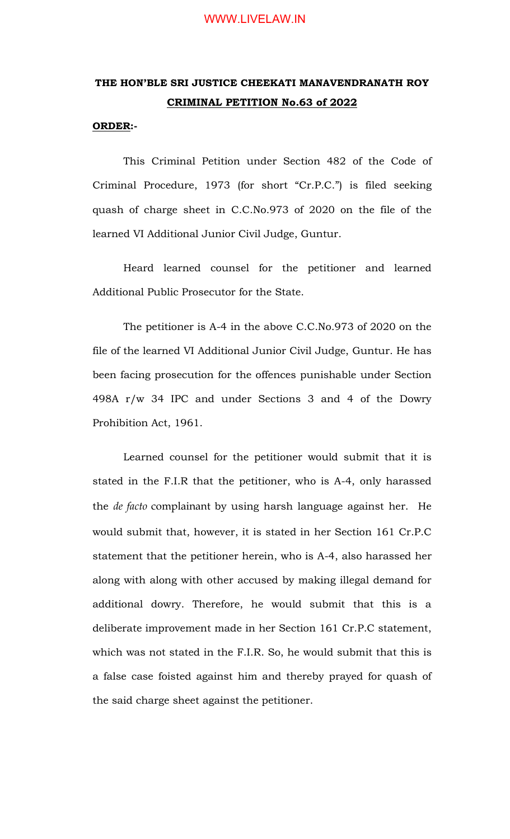### WWW.LIVELAW.IN

# **THE HON'BLE SRI JUSTICE CHEEKATI MANAVENDRANATH ROY CRIMINAL PETITION No.63 of 2022**

#### **ORDER:-**

This Criminal Petition under Section 482 of the Code of Criminal Procedure, 1973 (for short "Cr.P.C.") is filed seeking quash of charge sheet in C.C.No.973 of 2020 on the file of the learned VI Additional Junior Civil Judge, Guntur.

Heard learned counsel for the petitioner and learned Additional Public Prosecutor for the State.

The petitioner is A-4 in the above C.C.No.973 of 2020 on the file of the learned VI Additional Junior Civil Judge, Guntur. He has been facing prosecution for the offences punishable under Section 498A r/w 34 IPC and under Sections 3 and 4 of the Dowry Prohibition Act, 1961.

Learned counsel for the petitioner would submit that it is stated in the F.I.R that the petitioner, who is A-4, only harassed the *de facto* complainant by using harsh language against her. He would submit that, however, it is stated in her Section 161 Cr.P.C statement that the petitioner herein, who is A-4, also harassed her along with along with other accused by making illegal demand for additional dowry. Therefore, he would submit that this is a deliberate improvement made in her Section 161 Cr.P.C statement, which was not stated in the F.I.R. So, he would submit that this is a false case foisted against him and thereby prayed for quash of the said charge sheet against the petitioner.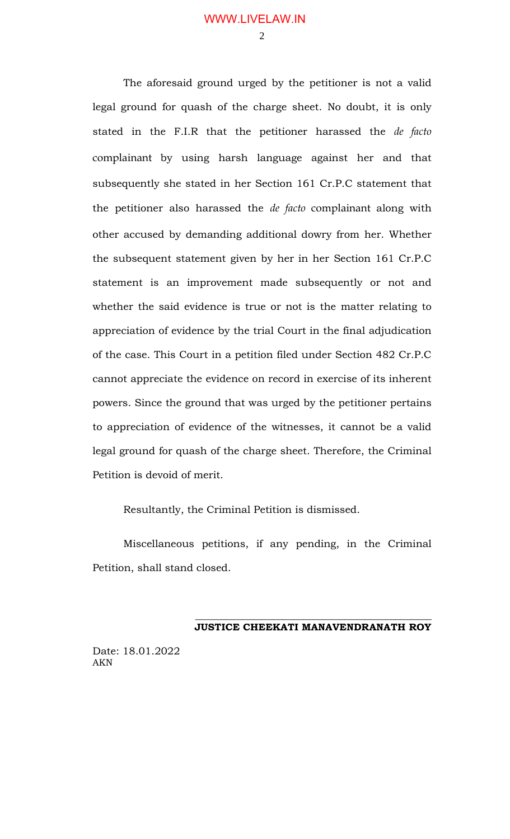$\mathcal{D}$ 

The aforesaid ground urged by the petitioner is not a valid legal ground for quash of the charge sheet. No doubt, it is only stated in the F.I.R that the petitioner harassed the *de facto* complainant by using harsh language against her and that subsequently she stated in her Section 161 Cr.P.C statement that the petitioner also harassed the *de facto* complainant along with other accused by demanding additional dowry from her. Whether the subsequent statement given by her in her Section 161 Cr.P.C statement is an improvement made subsequently or not and whether the said evidence is true or not is the matter relating to appreciation of evidence by the trial Court in the final adjudication of the case. This Court in a petition filed under Section 482 Cr.P.C cannot appreciate the evidence on record in exercise of its inherent powers. Since the ground that was urged by the petitioner pertains to appreciation of evidence of the witnesses, it cannot be a valid legal ground for quash of the charge sheet. Therefore, the Criminal Petition is devoid of merit.

Resultantly, the Criminal Petition is dismissed.

Miscellaneous petitions, if any pending, in the Criminal Petition, shall stand closed.

> \_\_\_\_\_\_\_\_\_\_\_\_\_\_\_\_\_\_\_\_\_\_\_\_\_\_\_\_\_\_\_\_\_\_\_\_\_\_\_\_\_\_\_\_\_\_ **JUSTICE CHEEKATI MANAVENDRANATH ROY**

Date: 18.01.2022 AKN